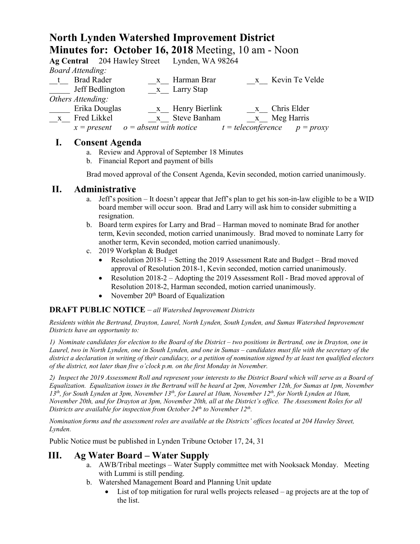# **North Lynden Watershed Improvement District Minutes for: October 16, 2018** Meeting, 10 am - Noon

|                   |                         |                                        |              | Ag Central 204 Hawley Street Lynden, WA 98264 |  |                                  |
|-------------------|-------------------------|----------------------------------------|--------------|-----------------------------------------------|--|----------------------------------|
|                   | <b>Board Attending:</b> |                                        |              |                                               |  |                                  |
| $-t$              | <b>Brad Rader</b>       |                                        | $\mathbf{X}$ | Harman Brar                                   |  | x Kevin Te Velde                 |
|                   |                         | Jeff Bedlington                        |              | x Larry Stap                                  |  |                                  |
| Others Attending: |                         |                                        |              |                                               |  |                                  |
|                   |                         | Erika Douglas                          |              | x Henry Bierlink                              |  | x Chris Elder                    |
| $\mathbf{X}$      | Fred Likkel             |                                        |              | x Steve Banham                                |  | x Meg Harris                     |
|                   |                         | $x = present$ $o = absent$ with notice |              |                                               |  | $t = teleconference$ $p = proxy$ |

## **I. Consent Agenda**

- a. Review and Approval of September 18 Minutes
- b. Financial Report and payment of bills

Brad moved approval of the Consent Agenda, Kevin seconded, motion carried unanimously.

#### **II. Administrative**

- a. Jeff's position It doesn't appear that Jeff's plan to get his son-in-law eligible to be a WID board member will occur soon. Brad and Larry will ask him to consider submitting a resignation.
- b. Board term expires for Larry and Brad Harman moved to nominate Brad for another term, Kevin seconded, motion carried unanimously. Brad moved to nominate Larry for another term, Kevin seconded, motion carried unanimously.
- c. 2019 Workplan & Budget
	- Resolution 2018-1 Setting the 2019 Assessment Rate and Budget Brad moved approval of Resolution 2018-1, Kevin seconded, motion carried unanimously.
	- Resolution 2018-2 Adopting the 2019 Assessment Roll Brad moved approval of Resolution 2018-2, Harman seconded, motion carried unanimously.
	- November  $20<sup>th</sup>$  Board of Equalization

#### **DRAFT PUBLIC NOTICE** – *all Watershed Improvement Districts*

*Residents within the Bertrand, Drayton, Laurel, North Lynden, South Lynden, and Sumas Watershed Improvement Districts have an opportunity to:*

*1) Nominate candidates for election to the Board of the District – two positions in Bertrand, one in Drayton, one in Laurel, two in North Lynden, one in South Lynden, and one in Sumas – candidates must file with the secretary of the district a declaration in writing of their candidacy, or a petition of nomination signed by at least ten qualified electors of the district, not later than five o'clock p.m. on the first Monday in November.*

*2) Inspect the 2019 Assessment Roll and represent your interests to the District Board which will serve as a Board of Equalization. Equalization issues in the Bertrand will be heard at 2pm, November 12th, for Sumas at 1pm, November 13th, for South Lynden at 3pm, November 13th, for Laurel at 10am, November 12th, for North Lynden at 10am, November 20th, and for Drayton at 3pm, November 20th, all at the District's office. The Assessment Roles for all Districts are available for inspection from October 24th to November 12th.* 

*Nomination forms and the assessment roles are available at the Districts' offices located at 204 Hawley Street, Lynden.*

Public Notice must be published in Lynden Tribune October 17, 24, 31

#### **III. Ag Water Board – Water Supply**

- a. AWB/Tribal meetings Water Supply committee met with Nooksack Monday. Meeting with Lummi is still pending.
- b. Watershed Management Board and Planning Unit update
	- List of top mitigation for rural wells projects released ag projects are at the top of the list.